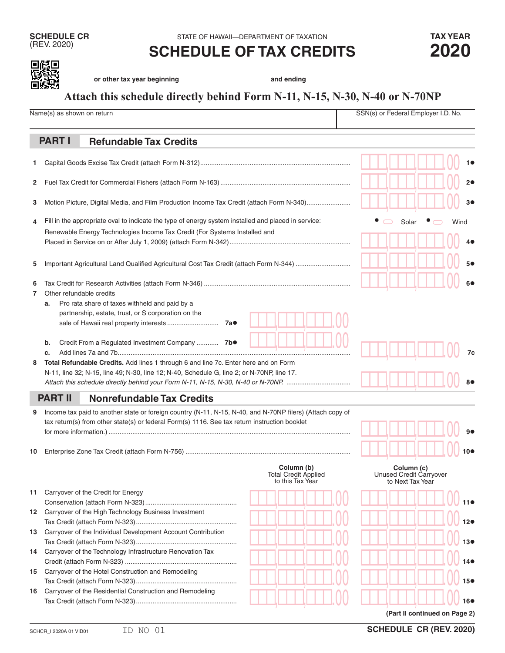(REV. 2020) **SCHEDULE OF TAX CREDITS 2020**

| ٠<br>۰. |
|---------|

or other tax year beginning **constant of the constant of the constant of the constant of the constant of the constant of the constant of the constant of the constant of the constant of the constant of the constant of the c** 

## **Attach this schedule directly behind Form N-11, N-15, N-30, N-40 or N-70NP**

|        | Name(s) as shown on return                                                                                                                                                                                                                       |                                                               | SSN(s) or Federal Employer I.D. No.                       |  |  |  |
|--------|--------------------------------------------------------------------------------------------------------------------------------------------------------------------------------------------------------------------------------------------------|---------------------------------------------------------------|-----------------------------------------------------------|--|--|--|
|        | <b>PART I</b><br><b>Refundable Tax Credits</b>                                                                                                                                                                                                   |                                                               |                                                           |  |  |  |
| 1.     |                                                                                                                                                                                                                                                  |                                                               |                                                           |  |  |  |
| 2      |                                                                                                                                                                                                                                                  | 2●                                                            |                                                           |  |  |  |
| 3      | Motion Picture, Digital Media, and Film Production Income Tax Credit (attach Form N-340)                                                                                                                                                         |                                                               |                                                           |  |  |  |
| 4      | Fill in the appropriate oval to indicate the type of energy system installed and placed in service:<br>Renewable Energy Technologies Income Tax Credit (For Systems Installed and                                                                | Solar<br>Wind<br>40                                           |                                                           |  |  |  |
| 5      | Important Agricultural Land Qualified Agricultural Cost Tax Credit (attach Form N-344)                                                                                                                                                           |                                                               |                                                           |  |  |  |
| 6<br>7 | Other refundable credits<br>Pro rata share of taxes withheld and paid by a<br>a.<br>partnership, estate, trust, or S corporation on the                                                                                                          |                                                               |                                                           |  |  |  |
| 8      | Credit From a Regulated Investment Company  7b.<br>b.<br>c.<br>Total Refundable Credits. Add lines 1 through 6 and line 7c. Enter here and on Form<br>N-11, line 32; N-15, line 49; N-30, line 12; N-40, Schedule G, line 2; or N-70NP, line 17. |                                                               |                                                           |  |  |  |
|        | <b>PART II</b><br><b>Nonrefundable Tax Credits</b>                                                                                                                                                                                               |                                                               |                                                           |  |  |  |
| 9      | Income tax paid to another state or foreign country (N-11, N-15, N-40, and N-70NP filers) (Attach copy of<br>tax return(s) from other state(s) or federal Form(s) 1116. See tax return instruction booklet                                       |                                                               |                                                           |  |  |  |
| 10     |                                                                                                                                                                                                                                                  |                                                               |                                                           |  |  |  |
|        |                                                                                                                                                                                                                                                  | Column (b)<br><b>Total Credit Applied</b><br>to this Tax Year | Column (c)<br>Unused Credit Carryover<br>to Next Tax Year |  |  |  |
| 11     | Carryover of the Credit for Energy                                                                                                                                                                                                               |                                                               |                                                           |  |  |  |
|        | 12 Carryover of the High Technology Business Investment                                                                                                                                                                                          |                                                               |                                                           |  |  |  |
| 13     | Carryover of the Individual Development Account Contribution                                                                                                                                                                                     |                                                               |                                                           |  |  |  |
| 14     | Carryover of the Technology Infrastructure Renovation Tax                                                                                                                                                                                        |                                                               |                                                           |  |  |  |
| 15     | Carryover of the Hotel Construction and Remodeling                                                                                                                                                                                               |                                                               |                                                           |  |  |  |
| 16     | Carryover of the Residential Construction and Remodeling                                                                                                                                                                                         |                                                               |                                                           |  |  |  |
|        |                                                                                                                                                                                                                                                  |                                                               | (Part II continued on Page 2)                             |  |  |  |